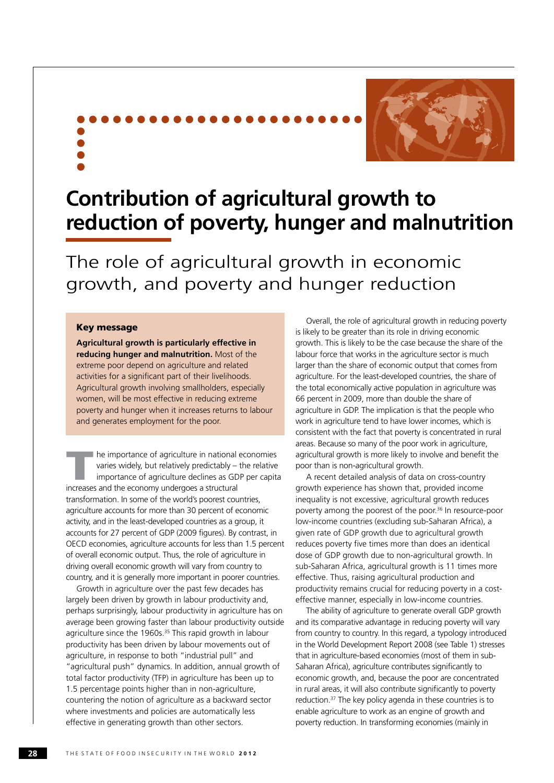

## **Contribution of agricultural growth to reduction of poverty, hunger and malnutrition**

The role of agricultural growth in economic growth, and poverty and hunger reduction

#### Key message

**Agricultural growth is particularly effective in reducing hunger and malnutrition.** Most of the extreme poor depend on agriculture and related activities for a significant part of their livelihoods. Agricultural growth involving smallholders, especially women, will be most effective in reducing extreme poverty and hunger when it increases returns to labour and generates employment for the poor.

The importance of agriculture in national economies<br>varies widely, but relatively predictably – the relative<br>importance of agriculture declines as GDP per capital<br>increases and the economy undergoes a structural varies widely, but relatively predictably – the relative importance of agriculture declines as GDP per capita increases and the economy undergoes a structural transformation. In some of the world's poorest countries, agriculture accounts for more than 30 percent of economic activity, and in the least-developed countries as a group, it accounts for 27 percent of GDP (2009 figures). By contrast, in OECD economies, agriculture accounts for less than 1.5 percent of overall economic output. Thus, the role of agriculture in driving overall economic growth will vary from country to country, and it is generally more important in poorer countries.

Growth in agriculture over the past few decades has largely been driven by growth in labour productivity and, perhaps surprisingly, labour productivity in agriculture has on average been growing faster than labour productivity outside agriculture since the 1960s.<sup>35</sup> This rapid growth in labour productivity has been driven by labour movements out of agriculture, in response to both "industrial pull" and "agricultural push" dynamics. In addition, annual growth of total factor productivity (TFP) in agriculture has been up to 1.5 percentage points higher than in non-agriculture, countering the notion of agriculture as a backward sector where investments and policies are automatically less effective in generating growth than other sectors.

Overall, the role of agricultural growth in reducing poverty is likely to be greater than its role in driving economic growth. This is likely to be the case because the share of the labour force that works in the agriculture sector is much larger than the share of economic output that comes from agriculture. For the least-developed countries, the share of the total economically active population in agriculture was 66 percent in 2009, more than double the share of agriculture in GDP. The implication is that the people who work in agriculture tend to have lower incomes, which is consistent with the fact that poverty is concentrated in rural areas. Because so many of the poor work in agriculture, agricultural growth is more likely to involve and benefit the poor than is non-agricultural growth.

A recent detailed analysis of data on cross-country growth experience has shown that, provided income inequality is not excessive, agricultural growth reduces poverty among the poorest of the poor.<sup>36</sup> In resource-poor low-income countries (excluding sub-Saharan Africa), a given rate of GDP growth due to agricultural growth reduces poverty five times more than does an identical dose of GDP growth due to non-agricultural growth. In sub-Saharan Africa, agricultural growth is 11 times more effective. Thus, raising agricultural production and productivity remains crucial for reducing poverty in a costeffective manner, especially in low-income countries.

The ability of agriculture to generate overall GDP growth and its comparative advantage in reducing poverty will vary from country to country. In this regard, a typology introduced in the World Development Report 2008 (see Table 1) stresses that in agriculture-based economies (most of them in sub-Saharan Africa), agriculture contributes significantly to economic growth, and, because the poor are concentrated in rural areas, it will also contribute significantly to poverty reduction.37 The key policy agenda in these countries is to enable agriculture to work as an engine of growth and poverty reduction. In transforming economies (mainly in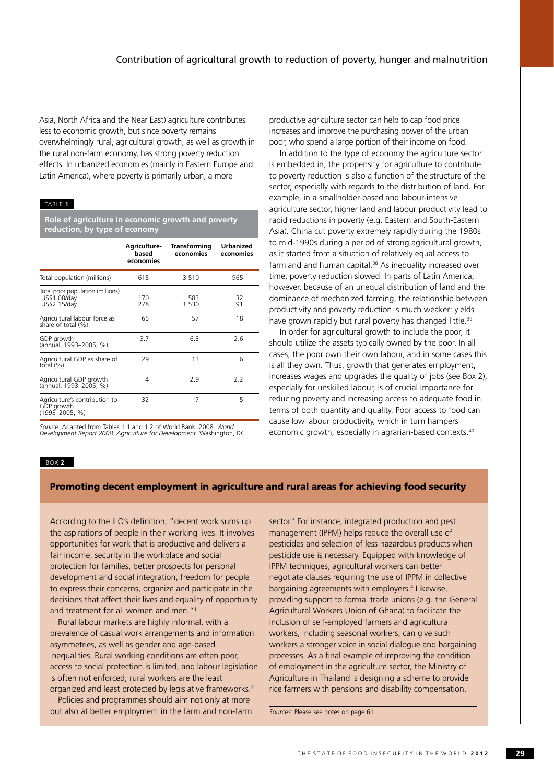Asia, North Africa and the Near East) agriculture contributes less to economic growth, but since poverty remains overwhelmingly rural, agricultural growth, as well as growth in the rural non-farm economy, has strong poverty reduction effects. In urbanized economies (mainly in Eastern Europe and Latin America), where poverty is primarily urban, a more

#### Table **1**

**Role of agriculture in economic growth and poverty reduction, by type of economy**

|                                                                   | <b>Agriculture-</b><br>based<br>economies | <b>Transforming</b><br>economies | <b>Urbanized</b><br>economies |
|-------------------------------------------------------------------|-------------------------------------------|----------------------------------|-------------------------------|
| Total population (millions)                                       | 615                                       | 3510                             | 965                           |
| Total poor population (millions)<br>US\$1.08/day<br>US\$2.15/day  | 170<br>278                                | 583<br>1 530                     | 32<br>91                      |
| Agricultural labour force as<br>share of total (%)                | 65                                        | 57                               | 18                            |
| GDP growth<br>(annual, 1993-2005, %)                              | 3.7                                       | 6.3                              | 2.6                           |
| Agricultural GDP as share of<br>total $(\%)$                      | 29                                        | 13                               | 6                             |
| Agricultural GDP growth<br>(annual, 1993-2005, %)                 | 4                                         | 2.9                              | 2.2                           |
| Agriculture's contribution to<br>GDP growth<br>$(1993 - 2005, %)$ | 32                                        | 7                                | 5                             |

*Source:* Adapted from Tables 1.1 and 1.2 of World Bank. 2008. *World Development Report 2008: Agriculture for Development.* Washington, DC. productive agriculture sector can help to cap food price increases and improve the purchasing power of the urban poor, who spend a large portion of their income on food.

In addition to the type of economy the agriculture sector is embedded in, the propensity for agriculture to contribute to poverty reduction is also a function of the structure of the sector, especially with regards to the distribution of land. For example, in a smallholder-based and labour-intensive agriculture sector, higher land and labour productivity lead to rapid reductions in poverty (e.g. Eastern and South-Eastern Asia). China cut poverty extremely rapidly during the 1980s to mid-1990s during a period of strong agricultural growth, as it started from a situation of relatively equal access to farmland and human capital.<sup>38</sup> As inequality increased over time, poverty reduction slowed. In parts of Latin America, however, because of an unequal distribution of land and the dominance of mechanized farming, the relationship between productivity and poverty reduction is much weaker: yields have grown rapidly but rural poverty has changed little.<sup>39</sup>

In order for agricultural growth to include the poor, it should utilize the assets typically owned by the poor. In all cases, the poor own their own labour, and in some cases this is all they own. Thus, growth that generates employment, increases wages and upgrades the quality of jobs (see Box 2), especially for unskilled labour, is of crucial importance for reducing poverty and increasing access to adequate food in terms of both quantity and quality. Poor access to food can cause low labour productivity, which in turn hampers economic growth, especially in agrarian-based contexts.<sup>40</sup>

#### BOX **2**

#### Promoting decent employment in agriculture and rural areas for achieving food security

According to the ILO's definition, "decent work sums up the aspirations of people in their working lives. It involves opportunities for work that is productive and delivers a fair income, security in the workplace and social protection for families, better prospects for personal development and social integration, freedom for people to express their concerns, organize and participate in the decisions that affect their lives and equality of opportunity and treatment for all women and men."1

Rural labour markets are highly informal, with a prevalence of casual work arrangements and information asymmetries, as well as gender and age-based inequalities. Rural working conditions are often poor, access to social protection is limited, and labour legislation is often not enforced; rural workers are the least organized and least protected by legislative frameworks.2

Policies and programmes should aim not only at more but also at better employment in the farm and non-farm

sector.<sup>3</sup> For instance, integrated production and pest management (IPPM) helps reduce the overall use of pesticides and selection of less hazardous products when pesticide use is necessary. Equipped with knowledge of IPPM techniques, agricultural workers can better negotiate clauses requiring the use of IPPM in collective bargaining agreements with employers.<sup>4</sup> Likewise, providing support to formal trade unions (e.g. the General Agricultural Workers Union of Ghana) to facilitate the inclusion of self-employed farmers and agricultural workers, including seasonal workers, can give such workers a stronger voice in social dialogue and bargaining processes. As a final example of improving the condition of employment in the agriculture sector, the Ministry of Agriculture in Thailand is designing a scheme to provide rice farmers with pensions and disability compensation.

*Sources:* Please see notes on page 61.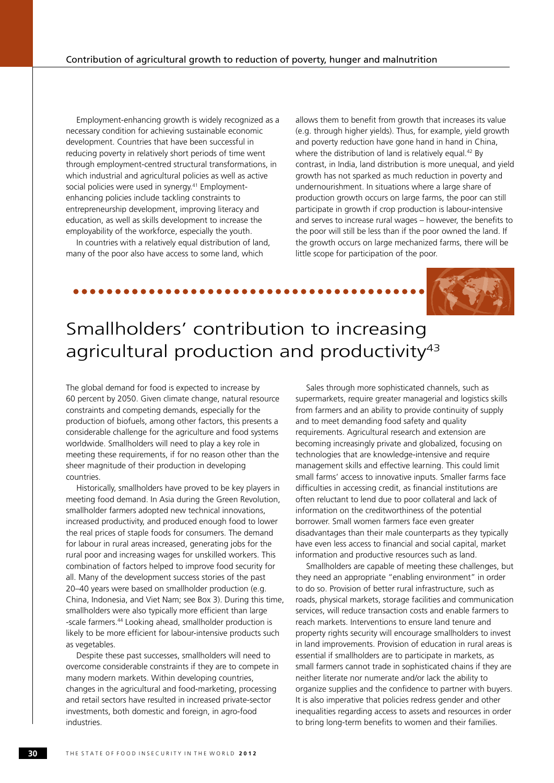Employment-enhancing growth is widely recognized as a necessary condition for achieving sustainable economic development. Countries that have been successful in reducing poverty in relatively short periods of time went through employment-centred structural transformations, in which industrial and agricultural policies as well as active social policies were used in synergy.<sup>41</sup> Employmentenhancing policies include tackling constraints to entrepreneurship development, improving literacy and education, as well as skills development to increase the employability of the workforce, especially the youth.

In countries with a relatively equal distribution of land, many of the poor also have access to some land, which

allows them to benefit from growth that increases its value (e.g. through higher yields). Thus, for example, yield growth and poverty reduction have gone hand in hand in China, where the distribution of land is relatively equal.<sup>42</sup> By contrast, in India, land distribution is more unequal, and yield growth has not sparked as much reduction in poverty and undernourishment. In situations where a large share of production growth occurs on large farms, the poor can still participate in growth if crop production is labour-intensive and serves to increase rural wages – however, the benefits to the poor will still be less than if the poor owned the land. If the growth occurs on large mechanized farms, there will be little scope for participation of the poor.



### Smallholders' contribution to increasing agricultural production and productivity<sup>43</sup>

The global demand for food is expected to increase by 60 percent by 2050. Given climate change, natural resource constraints and competing demands, especially for the production of biofuels, among other factors, this presents a considerable challenge for the agriculture and food systems worldwide. Smallholders will need to play a key role in meeting these requirements, if for no reason other than the sheer magnitude of their production in developing countries.

Historically, smallholders have proved to be key players in meeting food demand. In Asia during the Green Revolution, smallholder farmers adopted new technical innovations, increased productivity, and produced enough food to lower the real prices of staple foods for consumers. The demand for labour in rural areas increased, generating jobs for the rural poor and increasing wages for unskilled workers. This combination of factors helped to improve food security for all. Many of the development success stories of the past 20–40 years were based on smallholder production (e.g. China, Indonesia, and Viet Nam; see Box 3). During this time, smallholders were also typically more efficient than large -scale farmers.44 Looking ahead, smallholder production is likely to be more efficient for labour-intensive products such as vegetables.

Despite these past successes, smallholders will need to overcome considerable constraints if they are to compete in many modern markets. Within developing countries, changes in the agricultural and food-marketing, processing and retail sectors have resulted in increased private-sector investments, both domestic and foreign, in agro-food industries.

Sales through more sophisticated channels, such as supermarkets, require greater managerial and logistics skills from farmers and an ability to provide continuity of supply and to meet demanding food safety and quality requirements. Agricultural research and extension are becoming increasingly private and globalized, focusing on technologies that are knowledge-intensive and require management skills and effective learning. This could limit small farms' access to innovative inputs. Smaller farms face difficulties in accessing credit, as financial institutions are often reluctant to lend due to poor collateral and lack of information on the creditworthiness of the potential borrower. Small women farmers face even greater disadvantages than their male counterparts as they typically have even less access to financial and social capital, market information and productive resources such as land.

Smallholders are capable of meeting these challenges, but they need an appropriate "enabling environment" in order to do so. Provision of better rural infrastructure, such as roads, physical markets, storage facilities and communication services, will reduce transaction costs and enable farmers to reach markets. Interventions to ensure land tenure and property rights security will encourage smallholders to invest in land improvements. Provision of education in rural areas is essential if smallholders are to participate in markets, as small farmers cannot trade in sophisticated chains if they are neither literate nor numerate and/or lack the ability to organize supplies and the confidence to partner with buyers. It is also imperative that policies redress gender and other inequalities regarding access to assets and resources in order to bring long-term benefits to women and their families.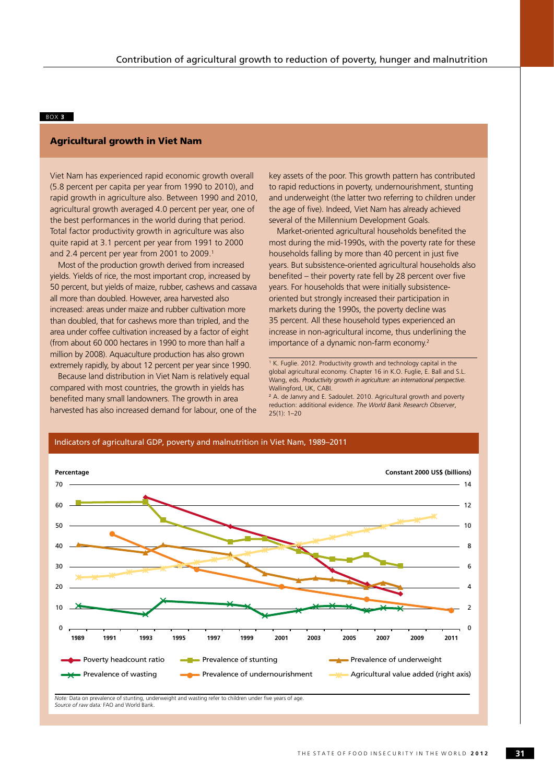#### BOX **3**

#### Agricultural growth in Viet Nam

Viet Nam has experienced rapid economic growth overall (5.8 percent per capita per year from 1990 to 2010), and rapid growth in agriculture also. Between 1990 and 2010, agricultural growth averaged 4.0 percent per year, one of the best performances in the world during that period. Total factor productivity growth in agriculture was also quite rapid at 3.1 percent per year from 1991 to 2000 and 2.4 percent per year from 2001 to 2009.<sup>1</sup>

Most of the production growth derived from increased yields. Yields of rice, the most important crop, increased by 50 percent, but yields of maize, rubber, cashews and cassava all more than doubled. However, area harvested also increased: areas under maize and rubber cultivation more than doubled, that for cashews more than tripled, and the area under coffee cultivation increased by a factor of eight (from about 60 000 hectares in 1990 to more than half a million by 2008). Aquaculture production has also grown extremely rapidly, by about 12 percent per year since 1990.

Because land distribution in Viet Nam is relatively equal compared with most countries, the growth in yields has benefited many small landowners. The growth in area harvested has also increased demand for labour, one of the key assets of the poor. This growth pattern has contributed to rapid reductions in poverty, undernourishment, stunting and underweight (the latter two referring to children under the age of five). Indeed, Viet Nam has already achieved several of the Millennium Development Goals.

Market-oriented agricultural households benefited the most during the mid-1990s, with the poverty rate for these households falling by more than 40 percent in just five years. But subsistence-oriented agricultural households also benefited – their poverty rate fell by 28 percent over five years. For households that were initially subsistenceoriented but strongly increased their participation in markets during the 1990s, the poverty decline was 35 percent. All these household types experienced an increase in non-agricultural income, thus underlining the importance of a dynamic non-farm economy.2

<sup>1</sup> K. Fuglie. 2012. Productivity growth and technology capital in the global agricultural economy. Chapter 16 in K.O. Fuglie, E. Ball and S.L. Wang, eds. *Productivity growth in agriculture: an international perspective*. Wallingford, UK, CABI.

2 A. de Janvry and E. Sadoulet. 2010. Agricultural growth and poverty reduction: additional evidence. *The World Bank Research Observer*,  $25(1)$ : 1–20



#### Indicators of agricultural GDP, poverty and malnutrition in Viet Nam, 1989–2011

*Note:* Data on prevalence of stunting, underweight and wasting refer to children under five years of age. *Source of raw data:* FAO and World Bank.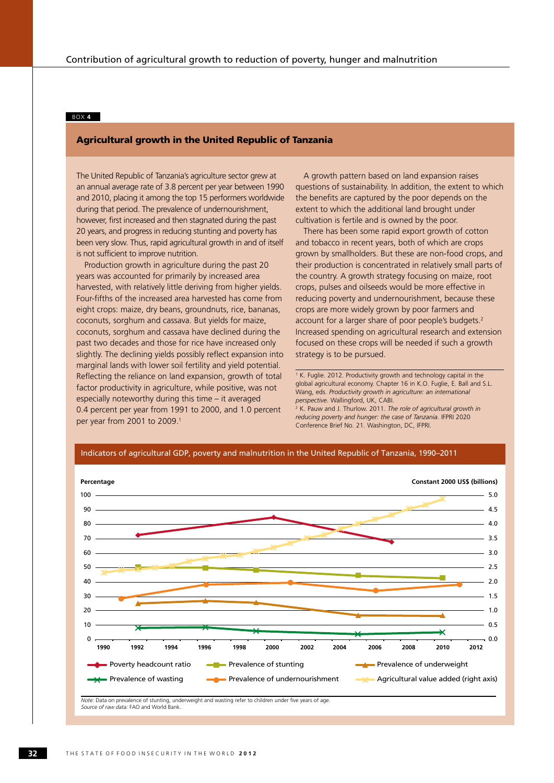#### BOX **4**

#### Agricultural growth in the United Republic of Tanzania

The United Republic of Tanzania's agriculture sector grew at an annual average rate of 3.8 percent per year between 1990 and 2010, placing it among the top 15 performers worldwide during that period. The prevalence of undernourishment, however, first increased and then stagnated during the past 20 years, and progress in reducing stunting and poverty has been very slow. Thus, rapid agricultural growth in and of itself is not sufficient to improve nutrition.

Production growth in agriculture during the past 20 years was accounted for primarily by increased area harvested, with relatively little deriving from higher yields. Four-fifths of the increased area harvested has come from eight crops: maize, dry beans, groundnuts, rice, bananas, coconuts, sorghum and cassava. But yields for maize, coconuts, sorghum and cassava have declined during the past two decades and those for rice have increased only slightly. The declining yields possibly reflect expansion into marginal lands with lower soil fertility and yield potential. Reflecting the reliance on land expansion, growth of total factor productivity in agriculture, while positive, was not especially noteworthy during this time – it averaged 0.4 percent per year from 1991 to 2000, and 1.0 percent per year from 2001 to 2009.<sup>1</sup>

A growth pattern based on land expansion raises questions of sustainability. In addition, the extent to which the benefits are captured by the poor depends on the extent to which the additional land brought under cultivation is fertile and is owned by the poor.

There has been some rapid export growth of cotton and tobacco in recent years, both of which are crops grown by smallholders. But these are non-food crops, and their production is concentrated in relatively small parts of the country. A growth strategy focusing on maize, root crops, pulses and oilseeds would be more effective in reducing poverty and undernourishment, because these crops are more widely grown by poor farmers and account for a larger share of poor people's budgets.<sup>2</sup> Increased spending on agricultural research and extension focused on these crops will be needed if such a growth strategy is to be pursued.

<sup>1</sup> K. Fuglie. 2012. Productivity growth and technology capital in the global agricultural economy. Chapter 16 in K.O. Fuglie, E. Ball and S.L. Wang, eds. *Productivity growth in agriculture: an international perspective*. Wallingford, UK, CABI.

<sup>2</sup> K. Pauw and J. Thurlow. 2011. *The role of agricultural growth in reducing poverty and hunger: the case of Tanzania*. IFPRI 2020 Conference Brief No. 21. Washington, DC, IFPRI.



**32** T H E S T A T E O F F O O D I N S E C U R I T Y I N T H E W O R L D **2 0 1 2**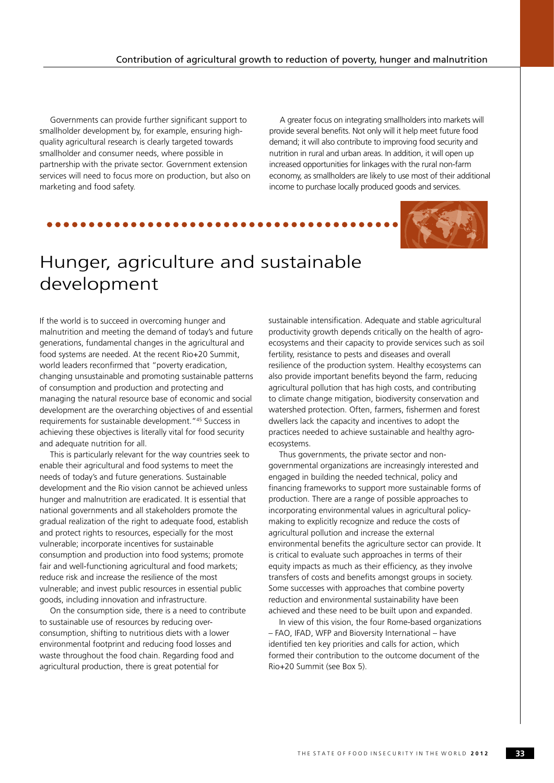Governments can provide further significant support to smallholder development by, for example, ensuring highquality agricultural research is clearly targeted towards smallholder and consumer needs, where possible in partnership with the private sector. Government extension services will need to focus more on production, but also on marketing and food safety.

A greater focus on integrating smallholders into markets will provide several benefits. Not only will it help meet future food demand; it will also contribute to improving food security and nutrition in rural and urban areas. In addition, it will open up increased opportunities for linkages with the rural non-farm economy, as smallholders are likely to use most of their additional income to purchase locally produced goods and services.



## Hunger, agriculture and sustainable development

If the world is to succeed in overcoming hunger and malnutrition and meeting the demand of today's and future generations, fundamental changes in the agricultural and food systems are needed. At the recent Rio+20 Summit, world leaders reconfirmed that "poverty eradication, changing unsustainable and promoting sustainable patterns of consumption and production and protecting and managing the natural resource base of economic and social development are the overarching objectives of and essential requirements for sustainable development."45 Success in achieving these objectives is literally vital for food security and adequate nutrition for all.

This is particularly relevant for the way countries seek to enable their agricultural and food systems to meet the needs of today's and future generations. Sustainable development and the Rio vision cannot be achieved unless hunger and malnutrition are eradicated. It is essential that national governments and all stakeholders promote the gradual realization of the right to adequate food, establish and protect rights to resources, especially for the most vulnerable; incorporate incentives for sustainable consumption and production into food systems; promote fair and well-functioning agricultural and food markets; reduce risk and increase the resilience of the most vulnerable; and invest public resources in essential public goods, including innovation and infrastructure.

On the consumption side, there is a need to contribute to sustainable use of resources by reducing overconsumption, shifting to nutritious diets with a lower environmental footprint and reducing food losses and waste throughout the food chain. Regarding food and agricultural production, there is great potential for

sustainable intensification. Adequate and stable agricultural productivity growth depends critically on the health of agroecosystems and their capacity to provide services such as soil fertility, resistance to pests and diseases and overall resilience of the production system. Healthy ecosystems can also provide important benefits beyond the farm, reducing agricultural pollution that has high costs, and contributing to climate change mitigation, biodiversity conservation and watershed protection. Often, farmers, fishermen and forest dwellers lack the capacity and incentives to adopt the practices needed to achieve sustainable and healthy agroecosystems.

Thus governments, the private sector and nongovernmental organizations are increasingly interested and engaged in building the needed technical, policy and financing frameworks to support more sustainable forms of production. There are a range of possible approaches to incorporating environmental values in agricultural policymaking to explicitly recognize and reduce the costs of agricultural pollution and increase the external environmental benefits the agriculture sector can provide. It is critical to evaluate such approaches in terms of their equity impacts as much as their efficiency, as they involve transfers of costs and benefits amongst groups in society. Some successes with approaches that combine poverty reduction and environmental sustainability have been achieved and these need to be built upon and expanded.

In view of this vision, the four Rome-based organizations – FAO, IFAD, WFP and Bioversity International – have identified ten key priorities and calls for action, which formed their contribution to the outcome document of the Rio+20 Summit (see Box 5).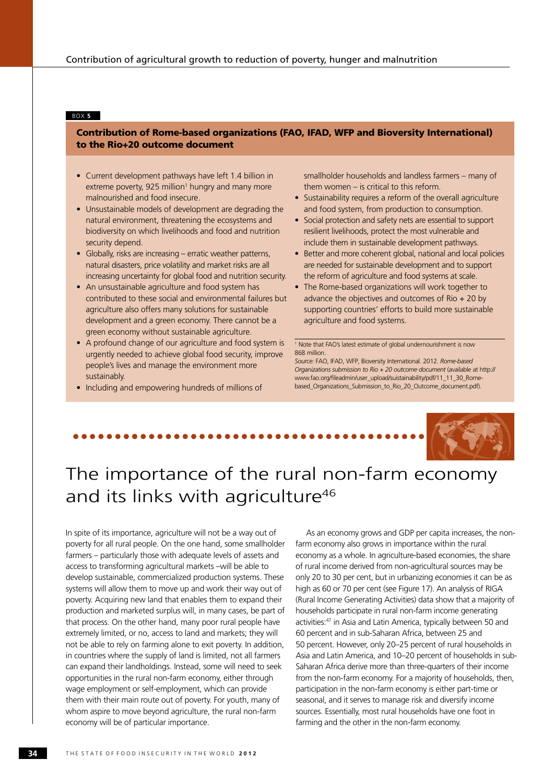#### BOX **5**

### Contribution of Rome-based organizations (FAO, IFAD, WFP and Bioversity International) to the Rio+20 outcome document

- Current development pathways have left 1.4 billion in  $extreme$  poverty, 925 million<sup>1</sup> hungry and many more malnourished and food insecure.
- Unsustainable models of development are degrading the natural environment, threatening the ecosystems and biodiversity on which livelihoods and food and nutrition security depend.
- Globally, risks are increasing erratic weather patterns, natural disasters, price volatility and market risks are all increasing uncertainty for global food and nutrition security.
- An unsustainable agriculture and food system has contributed to these social and environmental failures but agriculture also offers many solutions for sustainable development and a green economy. There cannot be a green economy without sustainable agriculture.
- A profound change of our agriculture and food system is urgently needed to achieve global food security, improve people's lives and manage the environment more sustainably.
- Including and empowering hundreds of millions of

smallholder households and landless farmers – many of them women – is critical to this reform.

- Sustainability requires a reform of the overall agriculture and food system, from production to consumption.
- Social protection and safety nets are essential to support resilient livelihoods, protect the most vulnerable and include them in sustainable development pathways.
- Better and more coherent global, national and local policies are needed for sustainable development and to support the reform of agriculture and food systems at scale.
- The Rome-based organizations will work together to advance the objectives and outcomes of Rio  $+ 20$  by supporting countries' efforts to build more sustainable agriculture and food systems.

1 Note that FAO's latest estimate of global undernourishment is now 868 million.

*Source:* FAO, IFAD, WFP, Bioversity International. 2012. *Rome-based Organizations submission to Rio + 20 outcome document* (available at http:// www.fao.org/fileadmin/user\_upload/suistainability/pdf/11\_11\_30\_Romebased\_Organizations\_Submission\_to\_Rio\_20\_Outcome\_document.pdf).

# The importance of the rural non-farm economy

## and its links with agriculture<sup>46</sup>

In spite of its importance, agriculture will not be a way out of poverty for all rural people. On the one hand, some smallholder farmers – particularly those with adequate levels of assets and access to transforming agricultural markets –will be able to develop sustainable, commercialized production systems. These systems will allow them to move up and work their way out of poverty. Acquiring new land that enables them to expand their production and marketed surplus will, in many cases, be part of that process. On the other hand, many poor rural people have extremely limited, or no, access to land and markets; they will not be able to rely on farming alone to exit poverty. In addition, in countries where the supply of land is limited, not all farmers can expand their landholdings. Instead, some will need to seek opportunities in the rural non-farm economy, either through wage employment or self-employment, which can provide them with their main route out of poverty. For youth, many of whom aspire to move beyond agriculture, the rural non-farm economy will be of particular importance.

As an economy grows and GDP per capita increases, the nonfarm economy also grows in importance within the rural economy as a whole. In agriculture-based economies, the share of rural income derived from non-agricultural sources may be only 20 to 30 per cent, but in urbanizing economies it can be as high as 60 or 70 per cent (see Figure 17). An analysis of RIGA (Rural Income Generating Activities) data show that a majority of households participate in rural non-farm income generating activities:47 in Asia and Latin America, typically between 50 and 60 percent and in sub-Saharan Africa, between 25 and 50 percent. However, only 20–25 percent of rural households in Asia and Latin America, and 10–20 percent of households in sub-Saharan Africa derive more than three-quarters of their income from the non-farm economy. For a majority of households, then, participation in the non-farm economy is either part-time or seasonal, and it serves to manage risk and diversify income sources. Essentially, most rural households have one foot in farming and the other in the non-farm economy.